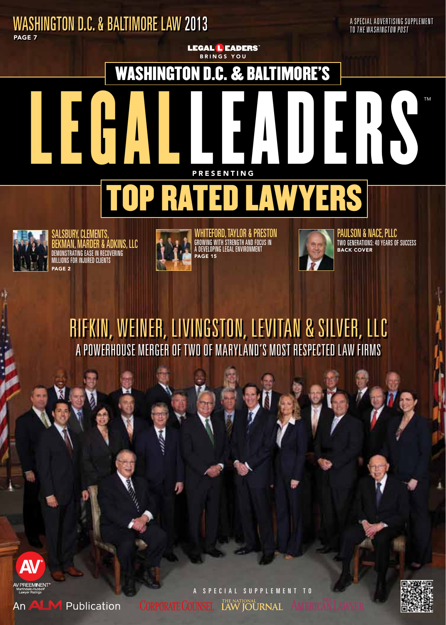### Washington D.C. & BAltimore Law 2013 Page 7

A Special advertising supplement to the washington post

™

## washington d.c. & Baltimore's

Brings You

**LEGAL LEADERS** 





PAGE<sub>2</sub> demonstrating ease in recovering millions for injured clients **BURY, CLEMENTS** Bekman, Marder & Adkins, LLC



PAGE 15 Growing with Strength and Focus in a Developing Legal Environment Whiteford, Taylor & Preston



TWO GENERATIONS: 40 YEARS OF S<br>BACK COVER PAULSUN & NAC<del>l</del>, P

### RIFKIN, WEINER, LIVINGSTON, LEVITAN & SILVER, L A Powerhouse Merger of Two of Maryland's Most Respected Law Firms





An ALM Publication

a special supplement to **CORPORATE COUNSEL LAW JOURNAL**